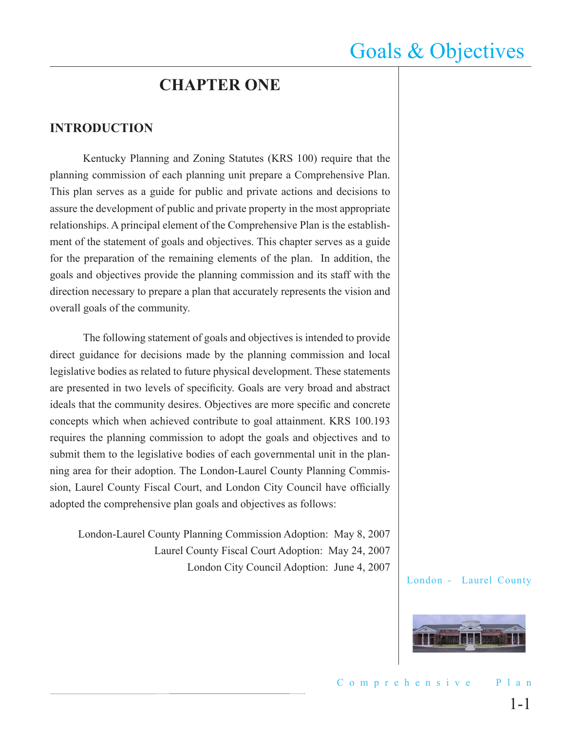## **CHAPTER ONE**

### **INTRODUCTION**

Kentucky Planning and Zoning Statutes (KRS 100) require that the planning commission of each planning unit prepare a Comprehensive Plan. This plan serves as a guide for public and private actions and decisions to assure the development of public and private property in the most appropriate relationships. A principal element of the Comprehensive Plan is the establishment of the statement of goals and objectives. This chapter serves as a guide for the preparation of the remaining elements of the plan. In addition, the goals and objectives provide the planning commission and its staff with the direction necessary to prepare a plan that accurately represents the vision and overall goals of the community.

The following statement of goals and objectives is intended to provide direct guidance for decisions made by the planning commission and local legislative bodies as related to future physical development. These statements are presented in two levels of specificity. Goals are very broad and abstract ideals that the community desires. Objectives are more specific and concrete concepts which when achieved contribute to goal attainment. KRS 100.193 requires the planning commission to adopt the goals and objectives and to submit them to the legislative bodies of each governmental unit in the planning area for their adoption. The London-Laurel County Planning Commission, Laurel County Fiscal Court, and London City Council have officially adopted the comprehensive plan goals and objectives as follows:

London-Laurel County Planning Commission Adoption: May 8, 2007 Laurel County Fiscal Court Adoption: May 24, 2007 London City Council Adoption: June 4, 2007

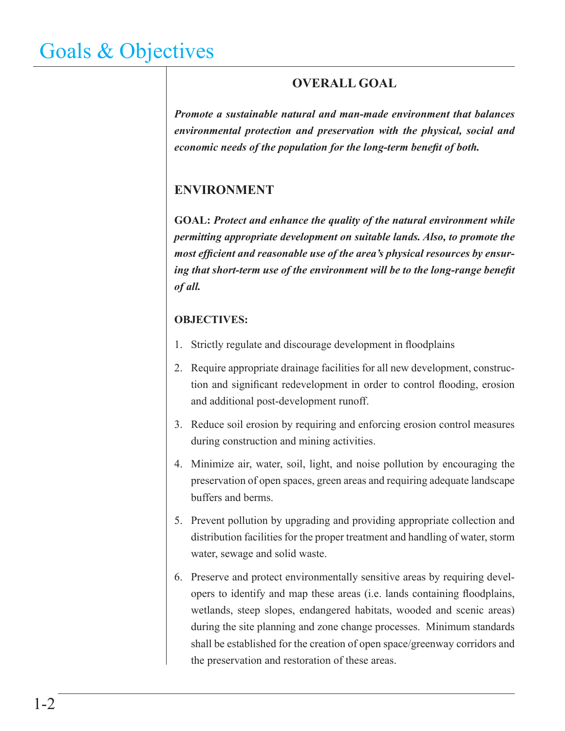### **OVERALL GOAL**

*Promote a sustainable natural and man-made environment that balances environmental protection and preservation with the physical, social and economic needs of the population for the long-term benefit of both.*

### **ENVIRONMENT**

**GOAL:** *Protect and enhance the quality of the natural environment while permitting appropriate development on suitable lands. Also, to promote the most efficient and reasonable use of the area's physical resources by ensuring that short-term use of the environment will be to the long-range benefit of all.*

- 1. Strictly regulate and discourage development in floodplains
- 2. Require appropriate drainage facilities for all new development, construction and significant redevelopment in order to control flooding, erosion and additional post-development runoff.
- 3. Reduce soil erosion by requiring and enforcing erosion control measures during construction and mining activities.
- 4. Minimize air, water, soil, light, and noise pollution by encouraging the preservation of open spaces, green areas and requiring adequate landscape buffers and berms.
- 5. Prevent pollution by upgrading and providing appropriate collection and distribution facilities for the proper treatment and handling of water, storm water, sewage and solid waste.
- 6. Preserve and protect environmentally sensitive areas by requiring developers to identify and map these areas (i.e. lands containing floodplains, wetlands, steep slopes, endangered habitats, wooded and scenic areas) during the site planning and zone change processes. Minimum standards shall be established for the creation of open space/greenway corridors and the preservation and restoration of these areas.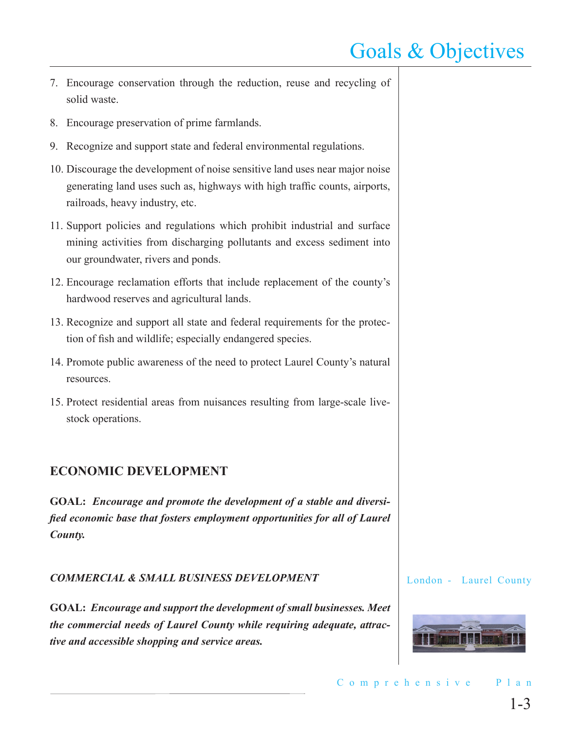- 7. Encourage conservation through the reduction, reuse and recycling of solid waste.
- 8. Encourage preservation of prime farmlands.
- 9. Recognize and support state and federal environmental regulations.
- 10. Discourage the development of noise sensitive land uses near major noise generating land uses such as, highways with high traffic counts, airports, railroads, heavy industry, etc.
- 11. Support policies and regulations which prohibit industrial and surface mining activities from discharging pollutants and excess sediment into our groundwater, rivers and ponds.
- 12. Encourage reclamation efforts that include replacement of the county's hardwood reserves and agricultural lands.
- 13. Recognize and support all state and federal requirements for the protection of fish and wildlife; especially endangered species.
- 14. Promote public awareness of the need to protect Laurel County's natural resources.
- 15. Protect residential areas from nuisances resulting from large-scale livestock operations.

### **ECONOMIC DEVELOPMENT**

**GOAL:** *Encourage and promote the development of a stable and diversified economic base that fosters employment opportunities for all of Laurel County.*

#### *COMMERCIAL & SMALL BUSINESS DEVELOPMENT*

**GOAL:** *Encourage and support the development of small businesses. Meet the commercial needs of Laurel County while requiring adequate, attractive and accessible shopping and service areas.*

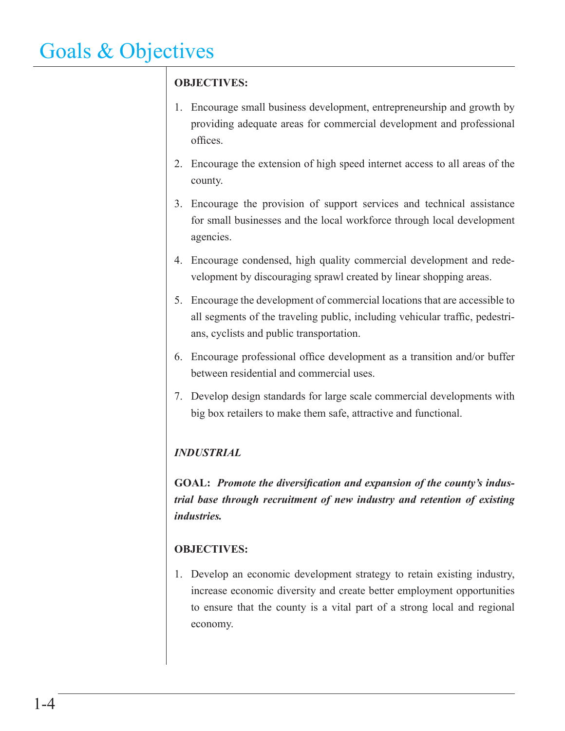### **OBJECTIVES:**

- 1. Encourage small business development, entrepreneurship and growth by providing adequate areas for commercial development and professional offices.
- 2. Encourage the extension of high speed internet access to all areas of the county.
- 3. Encourage the provision of support services and technical assistance for small businesses and the local workforce through local development agencies.
- 4. Encourage condensed, high quality commercial development and redevelopment by discouraging sprawl created by linear shopping areas.
- 5. Encourage the development of commercial locations that are accessible to all segments of the traveling public, including vehicular traffic, pedestrians, cyclists and public transportation.
- 6. Encourage professional office development as a transition and/or buffer between residential and commercial uses.
- 7. Develop design standards for large scale commercial developments with big box retailers to make them safe, attractive and functional.

### *INDUSTRIAL*

**GOAL:** *Promote the diversification and expansion of the county's industrial base through recruitment of new industry and retention of existing industries.* 

### **OBJECTIVES:**

1. Develop an economic development strategy to retain existing industry, increase economic diversity and create better employment opportunities to ensure that the county is a vital part of a strong local and regional economy.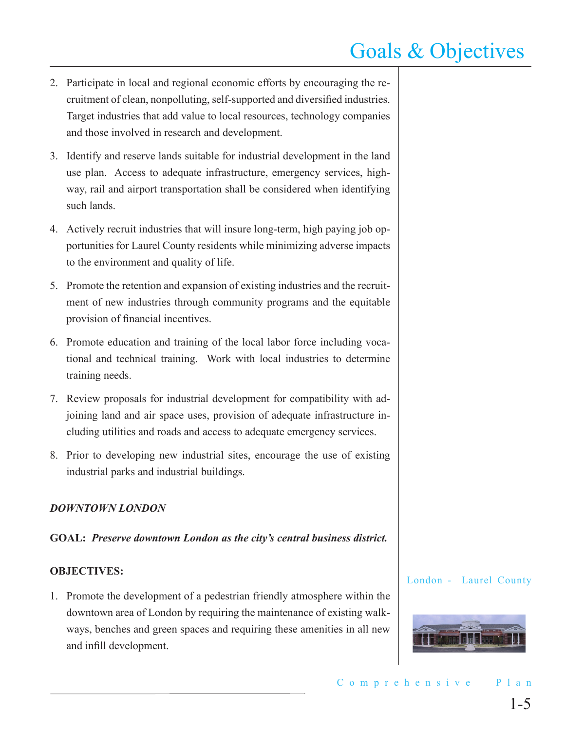- 2. Participate in local and regional economic efforts by encouraging the recruitment of clean, nonpolluting, self-supported and diversified industries. Target industries that add value to local resources, technology companies and those involved in research and development.
- 3. Identify and reserve lands suitable for industrial development in the land use plan. Access to adequate infrastructure, emergency services, highway, rail and airport transportation shall be considered when identifying such lands.
- 4. Actively recruit industries that will insure long-term, high paying job opportunities for Laurel County residents while minimizing adverse impacts to the environment and quality of life.
- 5. Promote the retention and expansion of existing industries and the recruitment of new industries through community programs and the equitable provision of financial incentives.
- 6. Promote education and training of the local labor force including vocational and technical training. Work with local industries to determine training needs.
- 7. Review proposals for industrial development for compatibility with adjoining land and air space uses, provision of adequate infrastructure including utilities and roads and access to adequate emergency services.
- 8. Prior to developing new industrial sites, encourage the use of existing industrial parks and industrial buildings.

#### *DOWNTOWN LONDON*

#### **GOAL:** *Preserve downtown London as the city's central business district.*

#### **OBJECTIVES:**

1. Promote the development of a pedestrian friendly atmosphere within the downtown area of London by requiring the maintenance of existing walkways, benches and green spaces and requiring these amenities in all new and infill development.

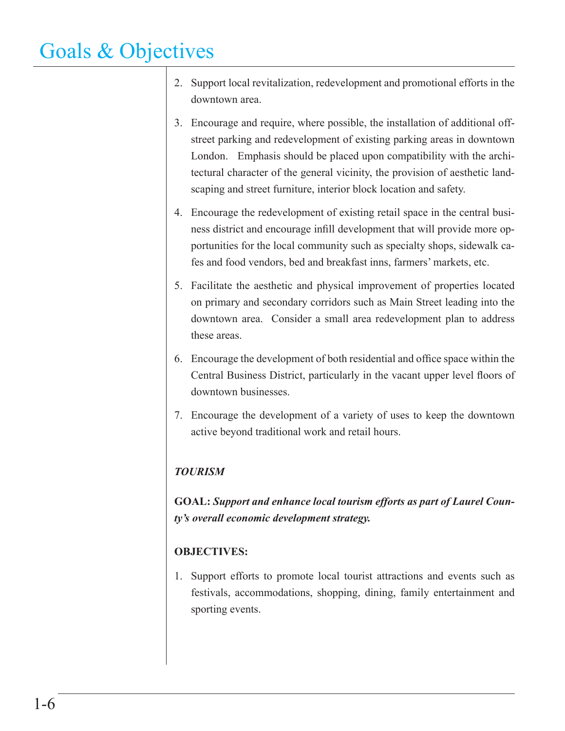- 2. Support local revitalization, redevelopment and promotional efforts in the downtown area.
- 3. Encourage and require, where possible, the installation of additional offstreet parking and redevelopment of existing parking areas in downtown London. Emphasis should be placed upon compatibility with the architectural character of the general vicinity, the provision of aesthetic landscaping and street furniture, interior block location and safety.
- 4. Encourage the redevelopment of existing retail space in the central business district and encourage infill development that will provide more opportunities for the local community such as specialty shops, sidewalk cafes and food vendors, bed and breakfast inns, farmers' markets, etc.
- 5. Facilitate the aesthetic and physical improvement of properties located on primary and secondary corridors such as Main Street leading into the downtown area. Consider a small area redevelopment plan to address these areas.
- 6. Encourage the development of both residential and office space within the Central Business District, particularly in the vacant upper level floors of downtown businesses.
- 7. Encourage the development of a variety of uses to keep the downtown active beyond traditional work and retail hours.

### *TOURISM*

**GOAL:** *Support and enhance local tourism efforts as part of Laurel County's overall economic development strategy.*

### **OBJECTIVES:**

1. Support efforts to promote local tourist attractions and events such as festivals, accommodations, shopping, dining, family entertainment and sporting events.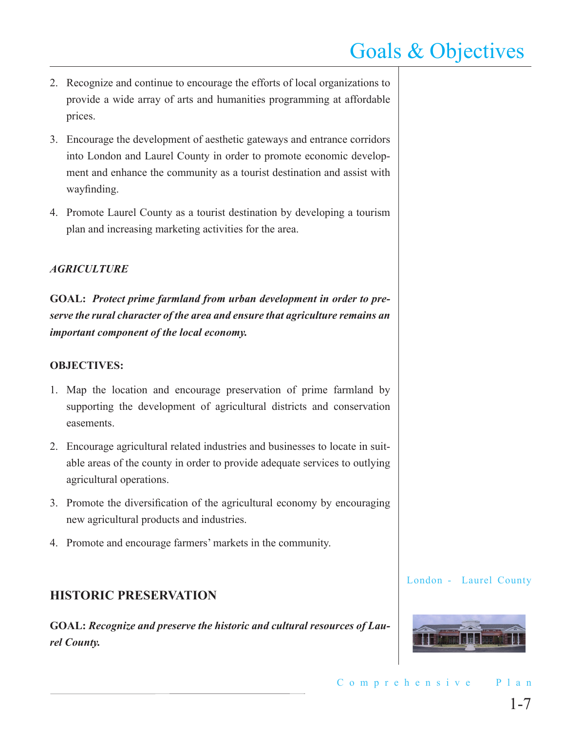- 2. Recognize and continue to encourage the efforts of local organizations to provide a wide array of arts and humanities programming at affordable prices.
- 3. Encourage the development of aesthetic gateways and entrance corridors into London and Laurel County in order to promote economic development and enhance the community as a tourist destination and assist with wayfinding.
- 4. Promote Laurel County as a tourist destination by developing a tourism plan and increasing marketing activities for the area.

#### *AGRICULTURE*

**GOAL:** *Protect prime farmland from urban development in order to preserve the rural character of the area and ensure that agriculture remains an important component of the local economy.* 

#### **OBJECTIVES:**

- 1. Map the location and encourage preservation of prime farmland by supporting the development of agricultural districts and conservation easements.
- 2. Encourage agricultural related industries and businesses to locate in suitable areas of the county in order to provide adequate services to outlying agricultural operations.
- 3. Promote the diversification of the agricultural economy by encouraging new agricultural products and industries.
- 4. Promote and encourage farmers' markets in the community.

### **HISTORIC PRESERVATION**

**GOAL:** *Recognize and preserve the historic and cultural resources of Laurel County.*

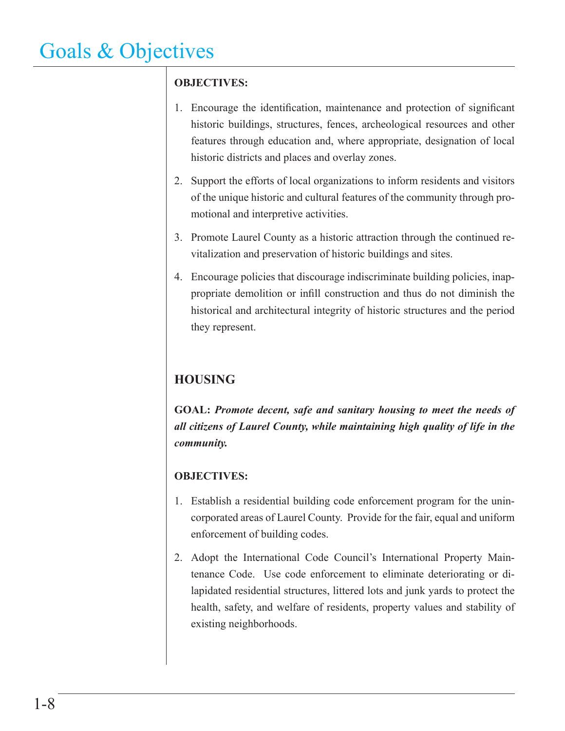### **OBJECTIVES:**

- 1. Encourage the identification, maintenance and protection of significant historic buildings, structures, fences, archeological resources and other features through education and, where appropriate, designation of local historic districts and places and overlay zones.
- 2. Support the efforts of local organizations to inform residents and visitors of the unique historic and cultural features of the community through promotional and interpretive activities.
- 3. Promote Laurel County as a historic attraction through the continued revitalization and preservation of historic buildings and sites.
- 4. Encourage policies that discourage indiscriminate building policies, inappropriate demolition or infill construction and thus do not diminish the historical and architectural integrity of historic structures and the period they represent.

## **HOUSING**

**GOAL:** *Promote decent, safe and sanitary housing to meet the needs of all citizens of Laurel County, while maintaining high quality of life in the community.* 

- 1. Establish a residential building code enforcement program for the unincorporated areas of Laurel County. Provide for the fair, equal and uniform enforcement of building codes.
- 2. Adopt the International Code Council's International Property Maintenance Code. Use code enforcement to eliminate deteriorating or dilapidated residential structures, littered lots and junk yards to protect the health, safety, and welfare of residents, property values and stability of existing neighborhoods.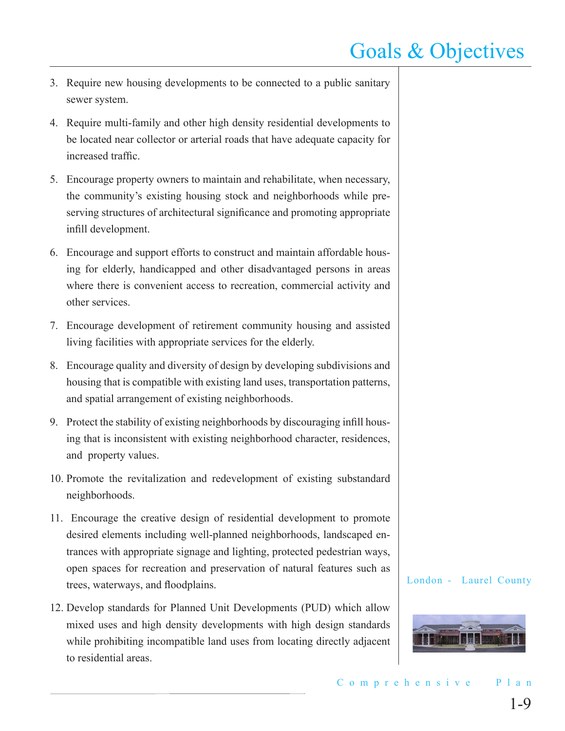- 3. Require new housing developments to be connected to a public sanitary sewer system.
- 4. Require multi-family and other high density residential developments to be located near collector or arterial roads that have adequate capacity for increased traffic.
- 5. Encourage property owners to maintain and rehabilitate, when necessary, the community's existing housing stock and neighborhoods while preserving structures of architectural significance and promoting appropriate infill development.
- 6. Encourage and support efforts to construct and maintain affordable housing for elderly, handicapped and other disadvantaged persons in areas where there is convenient access to recreation, commercial activity and other services.
- 7. Encourage development of retirement community housing and assisted living facilities with appropriate services for the elderly.
- 8. Encourage quality and diversity of design by developing subdivisions and housing that is compatible with existing land uses, transportation patterns, and spatial arrangement of existing neighborhoods.
- 9. Protect the stability of existing neighborhoods by discouraging infill housing that is inconsistent with existing neighborhood character, residences, and property values.
- 10. Promote the revitalization and redevelopment of existing substandard neighborhoods.
- 11. Encourage the creative design of residential development to promote desired elements including well-planned neighborhoods, landscaped entrances with appropriate signage and lighting, protected pedestrian ways, open spaces for recreation and preservation of natural features such as trees, waterways, and floodplains.
- 12. Develop standards for Planned Unit Developments (PUD) which allow mixed uses and high density developments with high design standards while prohibiting incompatible land uses from locating directly adjacent to residential areas.

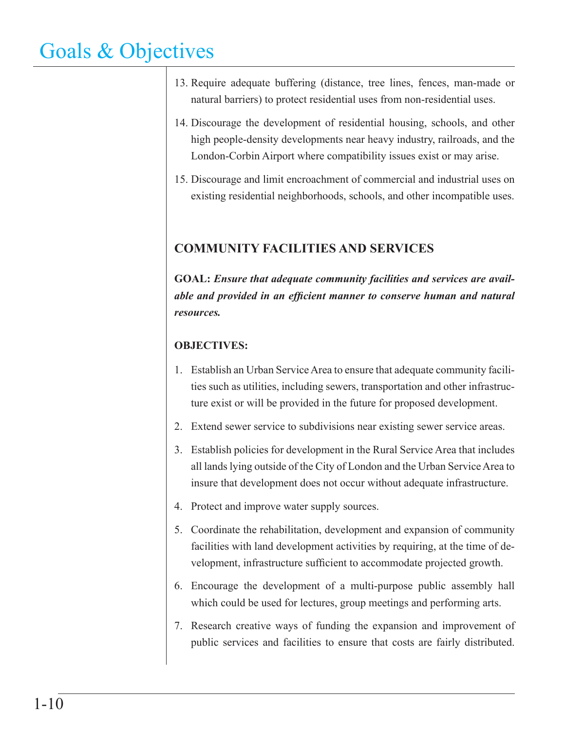- 13. Require adequate buffering (distance, tree lines, fences, man-made or natural barriers) to protect residential uses from non-residential uses.
- 14. Discourage the development of residential housing, schools, and other high people-density developments near heavy industry, railroads, and the London-Corbin Airport where compatibility issues exist or may arise.
- 15. Discourage and limit encroachment of commercial and industrial uses on existing residential neighborhoods, schools, and other incompatible uses.

### **COMMUNITY FACILITIES AND SERVICES**

**GOAL:** *Ensure that adequate community facilities and services are available and provided in an efficient manner to conserve human and natural resources.*

- 1. Establish an Urban Service Area to ensure that adequate community facilities such as utilities, including sewers, transportation and other infrastructure exist or will be provided in the future for proposed development.
- 2. Extend sewer service to subdivisions near existing sewer service areas.
- 3. Establish policies for development in the Rural Service Area that includes all lands lying outside of the City of London and the Urban Service Area to insure that development does not occur without adequate infrastructure.
- 4. Protect and improve water supply sources.
- 5. Coordinate the rehabilitation, development and expansion of community facilities with land development activities by requiring, at the time of development, infrastructure sufficient to accommodate projected growth.
- 6. Encourage the development of a multi-purpose public assembly hall which could be used for lectures, group meetings and performing arts.
- 7. Research creative ways of funding the expansion and improvement of public services and facilities to ensure that costs are fairly distributed.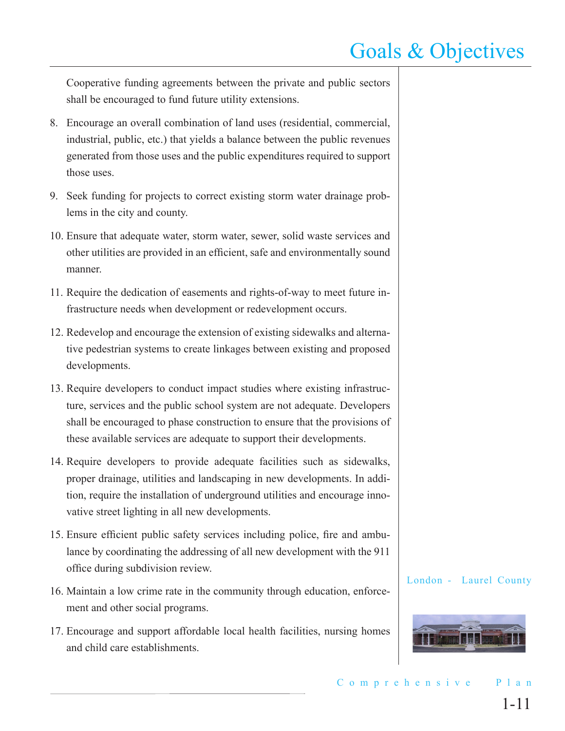Cooperative funding agreements between the private and public sectors shall be encouraged to fund future utility extensions.

- 8. Encourage an overall combination of land uses (residential, commercial, industrial, public, etc.) that yields a balance between the public revenues generated from those uses and the public expenditures required to support those uses.
- 9. Seek funding for projects to correct existing storm water drainage problems in the city and county.
- 10. Ensure that adequate water, storm water, sewer, solid waste services and other utilities are provided in an efficient, safe and environmentally sound manner.
- 11. Require the dedication of easements and rights-of-way to meet future infrastructure needs when development or redevelopment occurs.
- 12. Redevelop and encourage the extension of existing sidewalks and alternative pedestrian systems to create linkages between existing and proposed developments.
- 13. Require developers to conduct impact studies where existing infrastructure, services and the public school system are not adequate. Developers shall be encouraged to phase construction to ensure that the provisions of these available services are adequate to support their developments.
- 14. Require developers to provide adequate facilities such as sidewalks, proper drainage, utilities and landscaping in new developments. In addition, require the installation of underground utilities and encourage innovative street lighting in all new developments.
- 15. Ensure efficient public safety services including police, fire and ambulance by coordinating the addressing of all new development with the 911 office during subdivision review.
- 16. Maintain a low crime rate in the community through education, enforcement and other social programs.
- 17. Encourage and support affordable local health facilities, nursing homes and child care establishments.

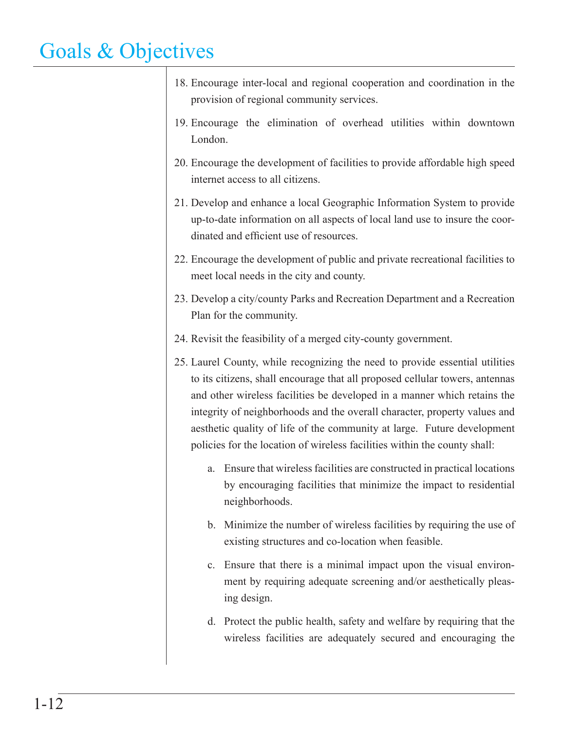- 18. Encourage inter-local and regional cooperation and coordination in the provision of regional community services.
- 19. Encourage the elimination of overhead utilities within downtown London.
- 20. Encourage the development of facilities to provide affordable high speed internet access to all citizens.
- 21. Develop and enhance a local Geographic Information System to provide up-to-date information on all aspects of local land use to insure the coordinated and efficient use of resources.
- 22. Encourage the development of public and private recreational facilities to meet local needs in the city and county.
- 23. Develop a city/county Parks and Recreation Department and a Recreation Plan for the community.
- 24. Revisit the feasibility of a merged city-county government.
- 25. Laurel County, while recognizing the need to provide essential utilities to its citizens, shall encourage that all proposed cellular towers, antennas and other wireless facilities be developed in a manner which retains the integrity of neighborhoods and the overall character, property values and aesthetic quality of life of the community at large. Future development policies for the location of wireless facilities within the county shall:
	- a. Ensure that wireless facilities are constructed in practical locations by encouraging facilities that minimize the impact to residential neighborhoods.
	- b. Minimize the number of wireless facilities by requiring the use of existing structures and co-location when feasible.
	- c. Ensure that there is a minimal impact upon the visual environment by requiring adequate screening and/or aesthetically pleasing design.
	- d. Protect the public health, safety and welfare by requiring that the wireless facilities are adequately secured and encouraging the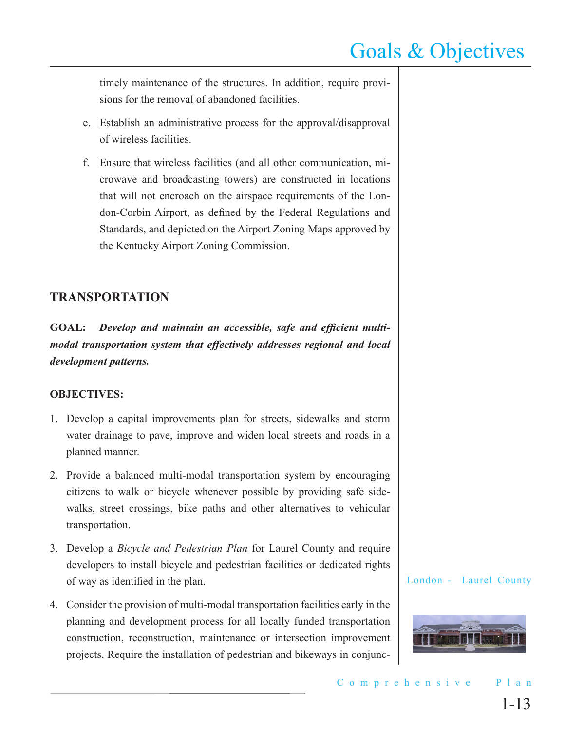timely maintenance of the structures. In addition, require provisions for the removal of abandoned facilities.

- e. Establish an administrative process for the approval/disapproval of wireless facilities.
- f. Ensure that wireless facilities (and all other communication, microwave and broadcasting towers) are constructed in locations that will not encroach on the airspace requirements of the London-Corbin Airport, as defined by the Federal Regulations and Standards, and depicted on the Airport Zoning Maps approved by the Kentucky Airport Zoning Commission.

### **TRANSPORTATION**

**GOAL:** *Develop and maintain an accessible, safe and efficient multimodal transportation system that effectively addresses regional and local development patterns.* 

#### **OBJECTIVES:**

- 1. Develop a capital improvements plan for streets, sidewalks and storm water drainage to pave, improve and widen local streets and roads in a planned manner.
- 2. Provide a balanced multi-modal transportation system by encouraging citizens to walk or bicycle whenever possible by providing safe sidewalks, street crossings, bike paths and other alternatives to vehicular transportation.
- 3. Develop a *Bicycle and Pedestrian Plan* for Laurel County and require developers to install bicycle and pedestrian facilities or dedicated rights of way as identified in the plan.
- 4. Consider the provision of multi-modal transportation facilities early in the planning and development process for all locally funded transportation construction, reconstruction, maintenance or intersection improvement projects. Require the installation of pedestrian and bikeways in conjunc-

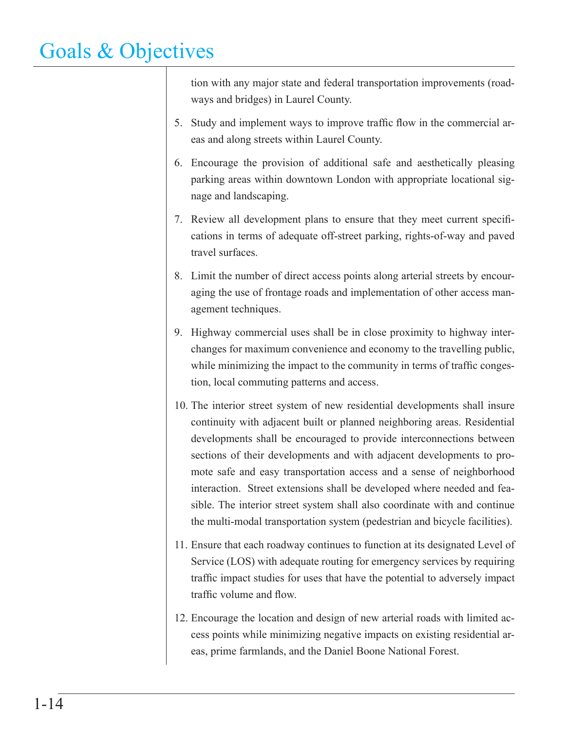tion with any major state and federal transportation improvements (roadways and bridges) in Laurel County.

- 5. Study and implement ways to improve traffic flow in the commercial areas and along streets within Laurel County.
- 6. Encourage the provision of additional safe and aesthetically pleasing parking areas within downtown London with appropriate locational signage and landscaping.
- 7. Review all development plans to ensure that they meet current specifications in terms of adequate off-street parking, rights-of-way and paved travel surfaces.
- 8. Limit the number of direct access points along arterial streets by encouraging the use of frontage roads and implementation of other access management techniques.
- 9. Highway commercial uses shall be in close proximity to highway interchanges for maximum convenience and economy to the travelling public, while minimizing the impact to the community in terms of traffic congestion, local commuting patterns and access.
- 10. The interior street system of new residential developments shall insure continuity with adjacent built or planned neighboring areas. Residential developments shall be encouraged to provide interconnections between sections of their developments and with adjacent developments to promote safe and easy transportation access and a sense of neighborhood interaction. Street extensions shall be developed where needed and feasible. The interior street system shall also coordinate with and continue the multi-modal transportation system (pedestrian and bicycle facilities).
- 11. Ensure that each roadway continues to function at its designated Level of Service (LOS) with adequate routing for emergency services by requiring traffic impact studies for uses that have the potential to adversely impact traffic volume and flow.
- 12. Encourage the location and design of new arterial roads with limited access points while minimizing negative impacts on existing residential areas, prime farmlands, and the Daniel Boone National Forest.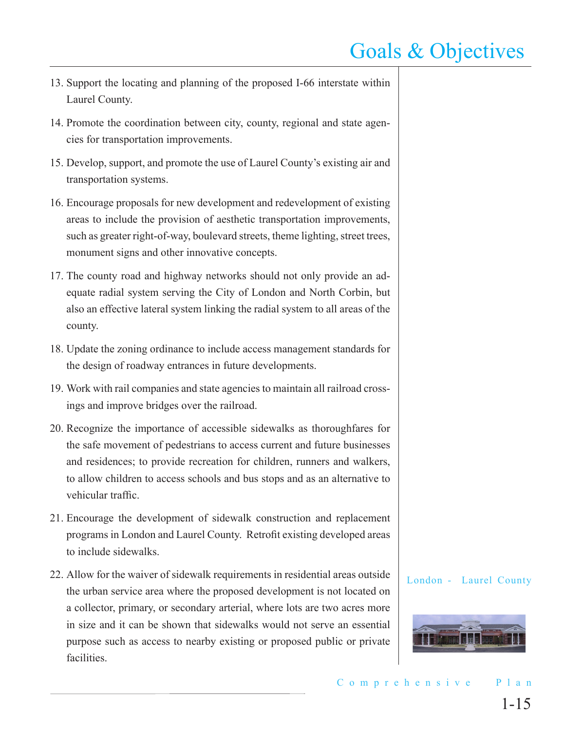- 13. Support the locating and planning of the proposed I-66 interstate within Laurel County.
- 14. Promote the coordination between city, county, regional and state agencies for transportation improvements.
- 15. Develop, support, and promote the use of Laurel County's existing air and transportation systems.
- 16. Encourage proposals for new development and redevelopment of existing areas to include the provision of aesthetic transportation improvements, such as greater right-of-way, boulevard streets, theme lighting, street trees, monument signs and other innovative concepts.
- 17. The county road and highway networks should not only provide an adequate radial system serving the City of London and North Corbin, but also an effective lateral system linking the radial system to all areas of the county.
- 18. Update the zoning ordinance to include access management standards for the design of roadway entrances in future developments.
- 19. Work with rail companies and state agencies to maintain all railroad crossings and improve bridges over the railroad.
- 20. Recognize the importance of accessible sidewalks as thoroughfares for the safe movement of pedestrians to access current and future businesses and residences; to provide recreation for children, runners and walkers, to allow children to access schools and bus stops and as an alternative to vehicular traffic.
- 21. Encourage the development of sidewalk construction and replacement programs in London and Laurel County. Retrofit existing developed areas to include sidewalks.
- 22. Allow for the waiver of sidewalk requirements in residential areas outside the urban service area where the proposed development is not located on a collector, primary, or secondary arterial, where lots are two acres more in size and it can be shown that sidewalks would not serve an essential purpose such as access to nearby existing or proposed public or private facilities.

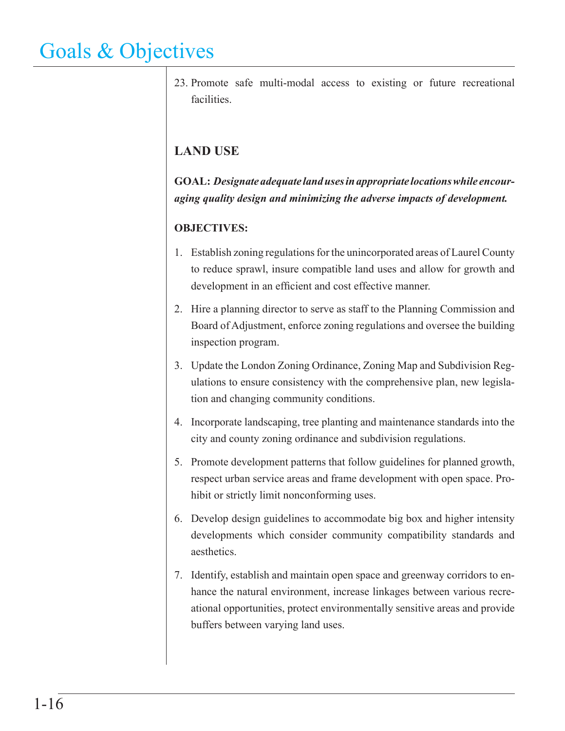23. Promote safe multi-modal access to existing or future recreational facilities.

### **LAND USE**

**GOAL:** *Designate adequate land uses in appropriate locations while encouraging quality design and minimizing the adverse impacts of development.*

- 1. Establish zoning regulations for the unincorporated areas of Laurel County to reduce sprawl, insure compatible land uses and allow for growth and development in an efficient and cost effective manner.
- 2. Hire a planning director to serve as staff to the Planning Commission and Board of Adjustment, enforce zoning regulations and oversee the building inspection program.
- 3. Update the London Zoning Ordinance, Zoning Map and Subdivision Regulations to ensure consistency with the comprehensive plan, new legislation and changing community conditions.
- 4. Incorporate landscaping, tree planting and maintenance standards into the city and county zoning ordinance and subdivision regulations.
- 5. Promote development patterns that follow guidelines for planned growth, respect urban service areas and frame development with open space. Prohibit or strictly limit nonconforming uses.
- 6. Develop design guidelines to accommodate big box and higher intensity developments which consider community compatibility standards and aesthetics.
- 7. Identify, establish and maintain open space and greenway corridors to enhance the natural environment, increase linkages between various recreational opportunities, protect environmentally sensitive areas and provide buffers between varying land uses.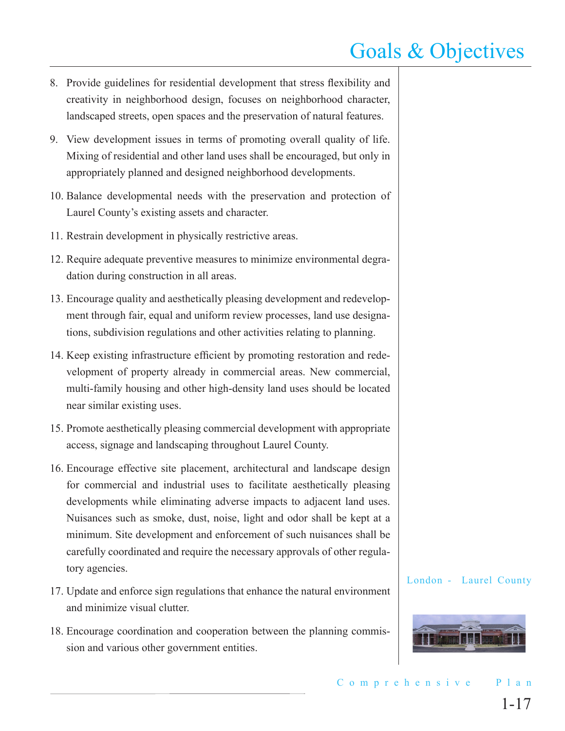- 8. Provide guidelines for residential development that stress flexibility and creativity in neighborhood design, focuses on neighborhood character, landscaped streets, open spaces and the preservation of natural features.
- 9. View development issues in terms of promoting overall quality of life. Mixing of residential and other land uses shall be encouraged, but only in appropriately planned and designed neighborhood developments.
- 10. Balance developmental needs with the preservation and protection of Laurel County's existing assets and character.
- 11. Restrain development in physically restrictive areas.
- 12. Require adequate preventive measures to minimize environmental degradation during construction in all areas.
- 13. Encourage quality and aesthetically pleasing development and redevelopment through fair, equal and uniform review processes, land use designations, subdivision regulations and other activities relating to planning.
- 14. Keep existing infrastructure efficient by promoting restoration and redevelopment of property already in commercial areas. New commercial, multi-family housing and other high-density land uses should be located near similar existing uses.
- 15. Promote aesthetically pleasing commercial development with appropriate access, signage and landscaping throughout Laurel County.
- 16. Encourage effective site placement, architectural and landscape design for commercial and industrial uses to facilitate aesthetically pleasing developments while eliminating adverse impacts to adjacent land uses. Nuisances such as smoke, dust, noise, light and odor shall be kept at a minimum. Site development and enforcement of such nuisances shall be carefully coordinated and require the necessary approvals of other regulatory agencies.
- 17. Update and enforce sign regulations that enhance the natural environment and minimize visual clutter.
- 18. Encourage coordination and cooperation between the planning commission and various other government entities.